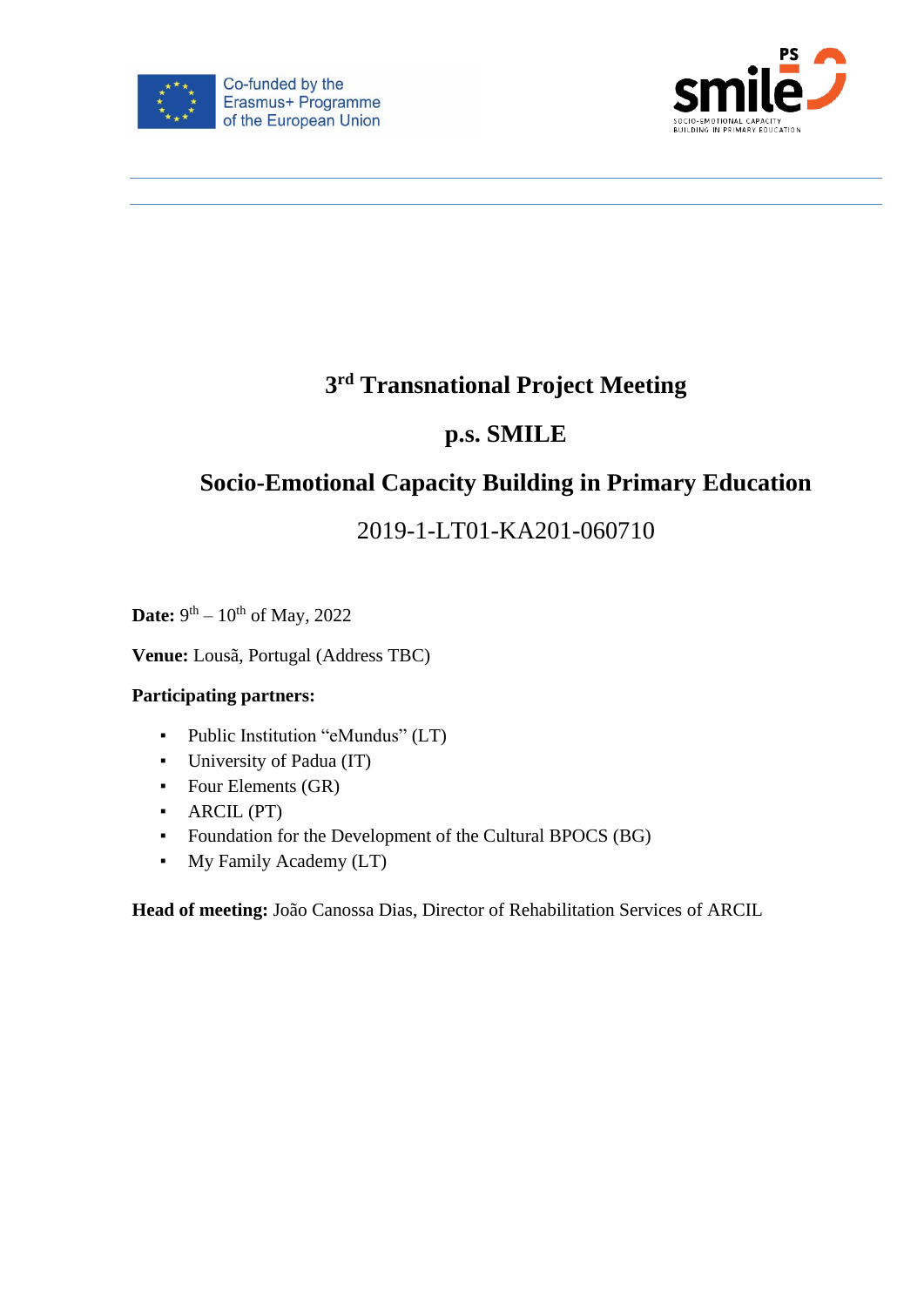



## **3 rd Transnational Project Meeting**

## **p.s. SMILE**

# **Socio-Emotional Capacity Building in Primary Education**

## 2019-1-LT01-KA201-060710

**Date:**  $9^{th} - 10^{th}$  of May, 2022

**Venue:** Lousã, Portugal (Address TBC)

#### **Participating partners:**

- Public Institution "eMundus" (LT)
- University of Padua (IT)
- Four Elements (GR)
- ARCIL (PT)
- Foundation for the Development of the Cultural BPOCS (BG)
- My Family Academy (LT)

**Head of meeting:** João Canossa Dias, Director of Rehabilitation Services of ARCIL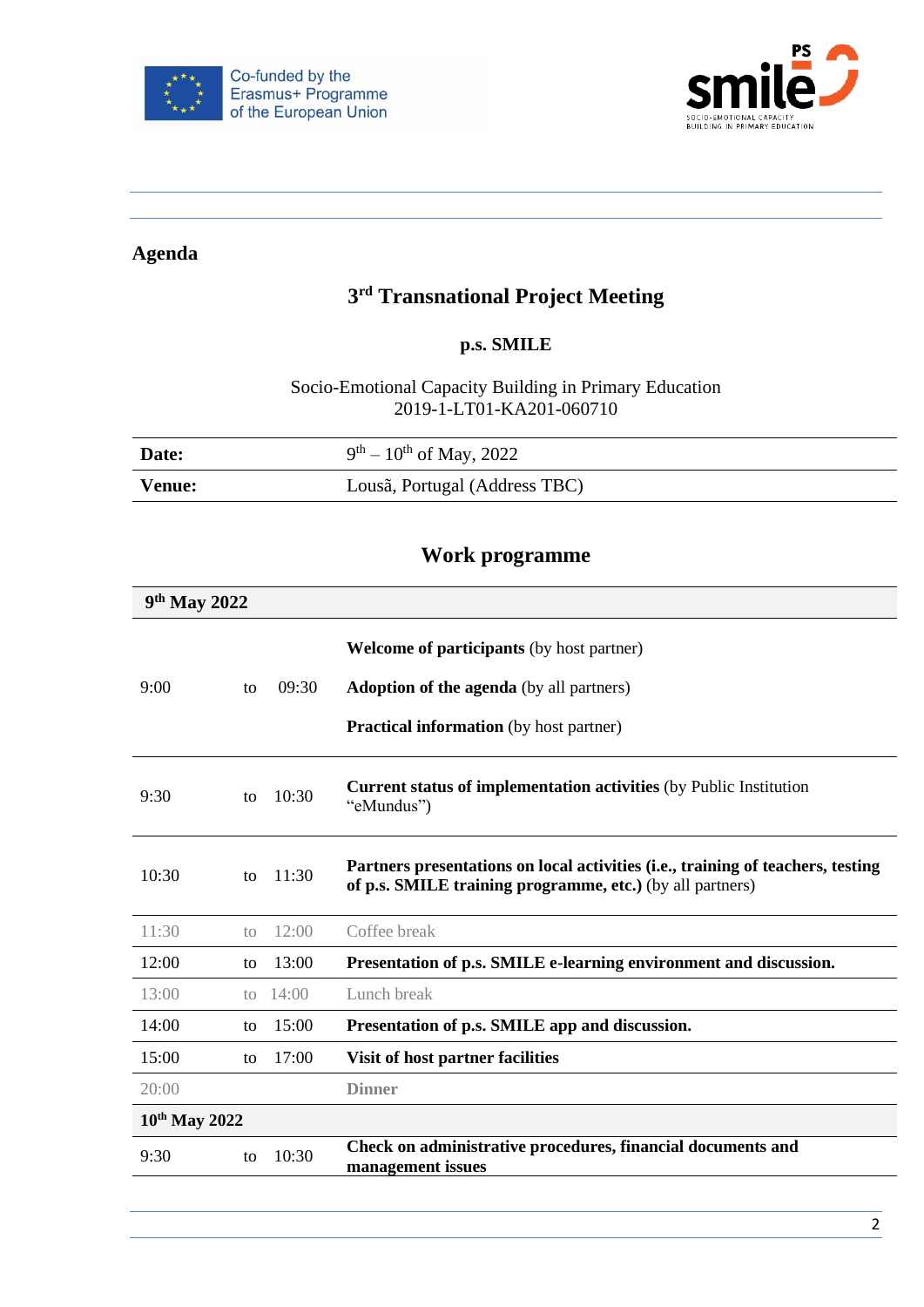



### **Agenda**

### **3 rd Transnational Project Meeting**

#### **p.s. SMILE**

#### Socio-Emotional Capacity Building in Primary Education 2019-1-LT01-KA201-060710

| Date:         | $9^{th} - 10^{th}$ of May, 2022 |
|---------------|---------------------------------|
| <b>Venue:</b> | Lousã, Portugal (Address TBC)   |

### **Work programme**

| 9th May 2022 |                    |       |                                                                                                                                                       |  |  |
|--------------|--------------------|-------|-------------------------------------------------------------------------------------------------------------------------------------------------------|--|--|
| 9:00         | to                 | 09:30 | <b>Welcome of participants</b> (by host partner)<br><b>Adoption of the agenda</b> (by all partners)<br><b>Practical information</b> (by host partner) |  |  |
| 9:30         | to                 | 10:30 | <b>Current status of implementation activities (by Public Institution)</b><br>"eMundus")                                                              |  |  |
| 10:30        | to                 | 11:30 | Partners presentations on local activities (i.e., training of teachers, testing<br>of p.s. SMILE training programme, etc.) (by all partners)          |  |  |
| 11:30        | to                 | 12:00 | Coffee break                                                                                                                                          |  |  |
| 12:00        | to                 | 13:00 | Presentation of p.s. SMILE e-learning environment and discussion.                                                                                     |  |  |
| 13:00        | to                 | 14:00 | Lunch break                                                                                                                                           |  |  |
| 14:00        | to                 | 15:00 | Presentation of p.s. SMILE app and discussion.                                                                                                        |  |  |
| 15:00        | to                 | 17:00 | Visit of host partner facilities                                                                                                                      |  |  |
| 20:00        |                    |       | <b>Dinner</b>                                                                                                                                         |  |  |
|              | $10^{th}$ May 2022 |       |                                                                                                                                                       |  |  |
| 9:30         | to                 | 10:30 | Check on administrative procedures, financial documents and<br>management issues                                                                      |  |  |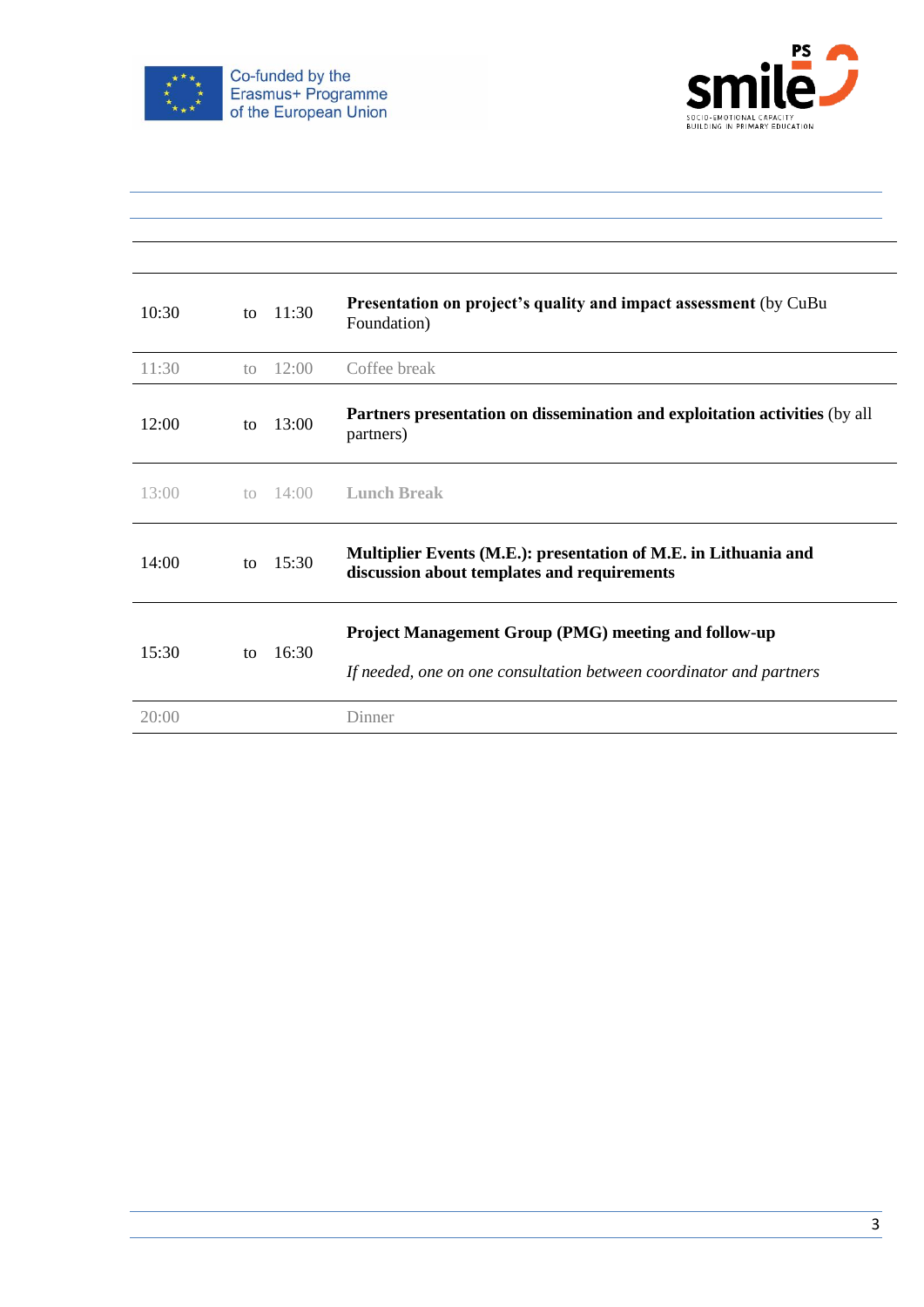



| 10:30 | to                 | 11:30      | <b>Presentation on project's quality and impact assessment (by CuBu</b><br>Foundation)                                             |
|-------|--------------------|------------|------------------------------------------------------------------------------------------------------------------------------------|
| 11:30 | $\uparrow$ $\circ$ | 12:00      | Coffee break                                                                                                                       |
| 12:00 | to                 | 13:00      | <b>Partners presentation on dissemination and exploitation activities (by all</b><br>partners)                                     |
| 13:00 |                    | to $14:00$ | <b>Lunch Break</b>                                                                                                                 |
| 14:00 | to                 | 15:30      | Multiplier Events (M.E.): presentation of M.E. in Lithuania and<br>discussion about templates and requirements                     |
| 15:30 | to                 | 16:30      | <b>Project Management Group (PMG) meeting and follow-up</b><br>If needed, one on one consultation between coordinator and partners |
| 20:00 |                    |            | Dinner                                                                                                                             |